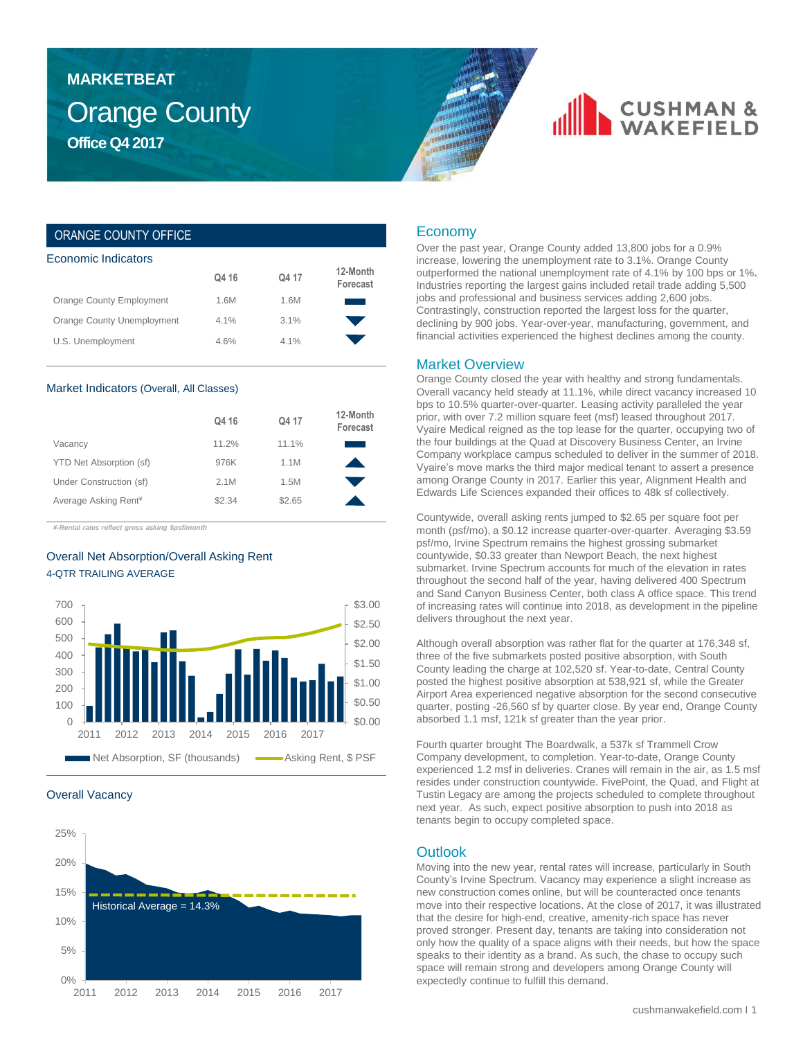## Orange County **Office Q4 2017 MARKETBEAT**

# **CUSHMAN &**

### ORANGE COUNTY OFFICE

| Economic Indicators        |         |       |                      |  |  |  |  |
|----------------------------|---------|-------|----------------------|--|--|--|--|
|                            | Q4 16   | Q4 17 | 12-Month<br>Forecast |  |  |  |  |
| Orange County Employment   | 1.6M    | 1.6M  |                      |  |  |  |  |
| Orange County Unemployment | $4.1\%$ | 3.1%  |                      |  |  |  |  |
| U.S. Unemployment          | 4.6%    | 4.1%  |                      |  |  |  |  |
|                            |         |       |                      |  |  |  |  |

#### Market Indicators (Overall, All Classes)

|                                  | Q4 16  | Q4 17  | 12-Month<br>Forecast |
|----------------------------------|--------|--------|----------------------|
| Vacancy                          | 11.2%  | 11.1%  |                      |
| YTD Net Absorption (sf)          | 976K   | 1.1M   |                      |
| Under Construction (sf)          | 2.1M   | 1.5M   |                      |
| Average Asking Rent <sup>¥</sup> | \$2.34 | \$2.65 |                      |

*¥-Rental rates reflect gross asking \$psf/month*

### Overall Net Absorption/Overall Asking Rent 4-QTR TRAILING AVERAGE



#### Overall Vacancy



### Economy

Over the past year, Orange County added 13,800 jobs for a 0.9% increase, lowering the unemployment rate to 3.1%. Orange County outperformed the national unemployment rate of 4.1% by 100 bps or 1%**.**  Industries reporting the largest gains included retail trade adding 5,500 jobs and professional and business services adding 2,600 jobs. Contrastingly, construction reported the largest loss for the quarter, declining by 900 jobs. Year-over-year, manufacturing, government, and financial activities experienced the highest declines among the county.

#### Market Overview

Orange County closed the year with healthy and strong fundamentals. Overall vacancy held steady at 11.1%, while direct vacancy increased 10 bps to 10.5% quarter-over-quarter. Leasing activity paralleled the year prior, with over 7.2 million square feet (msf) leased throughout 2017. Vyaire Medical reigned as the top lease for the quarter, occupying two of the four buildings at the Quad at Discovery Business Center, an Irvine Company workplace campus scheduled to deliver in the summer of 2018. Vyaire's move marks the third major medical tenant to assert a presence among Orange County in 2017. Earlier this year, Alignment Health and Edwards Life Sciences expanded their offices to 48k sf collectively.

Countywide, overall asking rents jumped to \$2.65 per square foot per month (psf/mo), a \$0.12 increase quarter-over-quarter. Averaging \$3.59 psf/mo, Irvine Spectrum remains the highest grossing submarket countywide, \$0.33 greater than Newport Beach, the next highest submarket. Irvine Spectrum accounts for much of the elevation in rates throughout the second half of the year, having delivered 400 Spectrum and Sand Canyon Business Center, both class A office space. This trend of increasing rates will continue into 2018, as development in the pipeline delivers throughout the next year.

Although overall absorption was rather flat for the quarter at 176,348 sf, three of the five submarkets posted positive absorption, with South County leading the charge at 102,520 sf. Year-to-date, Central County posted the highest positive absorption at 538,921 sf, while the Greater Airport Area experienced negative absorption for the second consecutive quarter, posting -26,560 sf by quarter close. By year end, Orange County absorbed 1.1 msf, 121k sf greater than the year prior.

Fourth quarter brought The Boardwalk, a 537k sf Trammell Crow Company development, to completion. Year-to-date, Orange County experienced 1.2 msf in deliveries. Cranes will remain in the air, as 1.5 msf resides under construction countywide. FivePoint, the Quad, and Flight at Tustin Legacy are among the projects scheduled to complete throughout next year. As such, expect positive absorption to push into 2018 as tenants begin to occupy completed space.

### **Outlook**

Moving into the new year, rental rates will increase, particularly in South County's Irvine Spectrum. Vacancy may experience a slight increase as new construction comes online, but will be counteracted once tenants move into their respective locations. At the close of 2017, it was illustrated that the desire for high-end, creative, amenity-rich space has never proved stronger. Present day, tenants are taking into consideration not only how the quality of a space aligns with their needs, but how the space speaks to their identity as a brand. As such, the chase to occupy such space will remain strong and developers among Orange County will expectedly continue to fulfill this demand.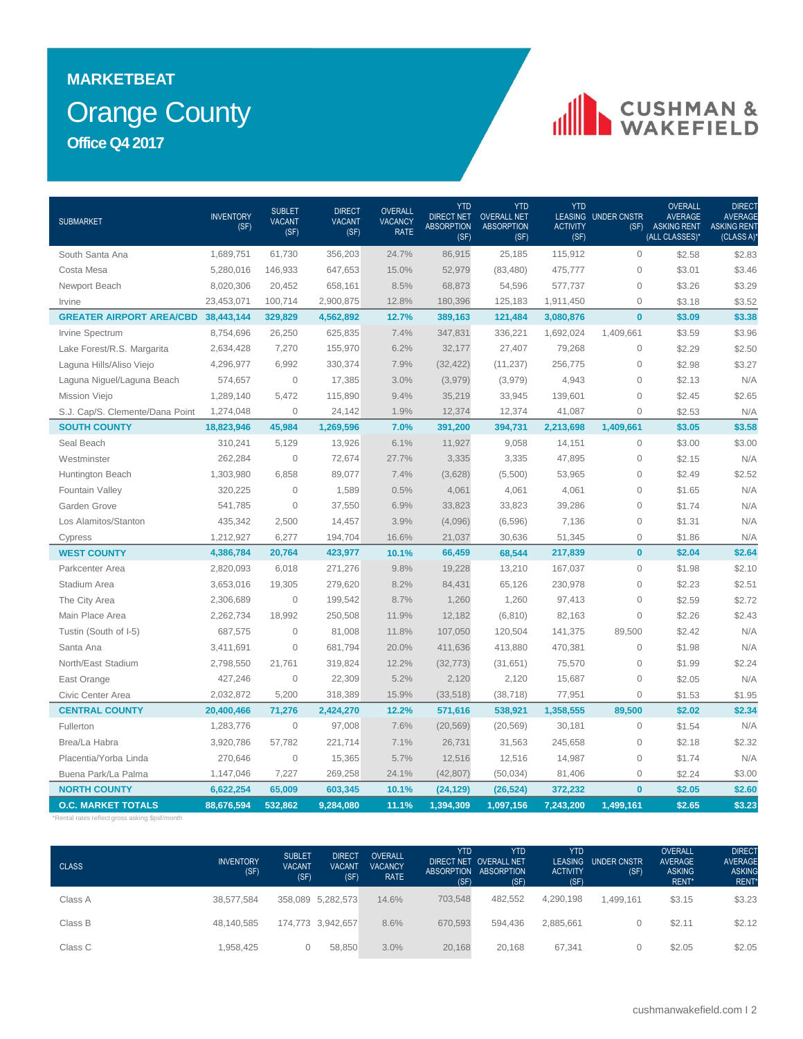# Orange County **MARKETBEAT Office Q4 2017**

# CUSHMAN &

| <b>SUBMARKET</b>                           | <b>INVENTORY</b><br>(SF) | <b>SUBLET</b><br><b>VACANT</b><br>(SF) | <b>DIRECT</b><br><b>VACANT</b><br>(SF) | <b>OVERALL</b><br><b>VACANCY</b><br><b>RATE</b> | <b>YTD</b><br><b>DIRECT NET</b><br><b>ABSORPTION</b><br>(SF) | YTD<br><b>OVERALL NET</b><br><b>ABSORPTION</b><br>(SF) | <b>YTD</b><br><b>ACTIVITY</b><br>(SF) | <b>LEASING UNDER CNSTR</b><br>(SF) | <b>OVERALL</b><br><b>AVERAGE</b><br><b>ASKING RENT</b><br>(ALL CLASSES)* | DIRECT<br><b>AVERAGE</b><br><b>ASKING RENT</b><br>(CLASS A) |
|--------------------------------------------|--------------------------|----------------------------------------|----------------------------------------|-------------------------------------------------|--------------------------------------------------------------|--------------------------------------------------------|---------------------------------------|------------------------------------|--------------------------------------------------------------------------|-------------------------------------------------------------|
| South Santa Ana                            | 1,689,751                | 61,730                                 | 356,203                                | 24.7%                                           | 86,915                                                       | 25,185                                                 | 115,912                               | $\mathbf{0}$                       | \$2.58                                                                   | \$2.83                                                      |
| Costa Mesa                                 | 5,280,016                | 146,933                                | 647,653                                | 15.0%                                           | 52,979                                                       | (83, 480)                                              | 475,777                               | $\mathbf{0}$                       | \$3.01                                                                   | \$3.46                                                      |
| Newport Beach                              | 8,020,306                | 20,452                                 | 658,161                                | 8.5%                                            | 68,873                                                       | 54,596                                                 | 577,737                               | $\mathsf{O}\xspace$                | \$3.26                                                                   | \$3.29                                                      |
| Irvine                                     | 23,453,071               | 100,714                                | 2,900,875                              | 12.8%                                           | 180,396                                                      | 125,183                                                | 1,911,450                             | $\mathsf{O}\xspace$                | \$3.18                                                                   | \$3.52                                                      |
| <b>GREATER AIRPORT AREA/CBD 38,443,144</b> |                          | 329,829                                | 4,562,892                              | 12.7%                                           | 389,163                                                      | 121,484                                                | 3,080,876                             | $\bf{0}$                           | \$3.09                                                                   | \$3.38                                                      |
| Irvine Spectrum                            | 8,754,696                | 26,250                                 | 625,835                                | 7.4%                                            | 347,831                                                      | 336,221                                                | 1,692,024                             | 1,409,661                          | \$3.59                                                                   | \$3.96                                                      |
| Lake Forest/R.S. Margarita                 | 2,634,428                | 7,270                                  | 155,970                                | 6.2%                                            | 32,177                                                       | 27,407                                                 | 79,268                                | $\mathbf{0}$                       | \$2.29                                                                   | \$2.50                                                      |
| Laguna Hills/Aliso Viejo                   | 4,296,977                | 6,992                                  | 330,374                                | 7.9%                                            | (32, 422)                                                    | (11, 237)                                              | 256,775                               | $\mathsf{O}\xspace$                | \$2.98                                                                   | \$3.27                                                      |
| Laguna Niguel/Laguna Beach                 | 574,657                  | $\mathbf 0$                            | 17,385                                 | 3.0%                                            | (3,979)                                                      | (3,979)                                                | 4,943                                 | $\mathsf{O}\xspace$                | \$2.13                                                                   | N/A                                                         |
| Mission Viejo                              | 1,289,140                | 5,472                                  | 115,890                                | 9.4%                                            | 35,219                                                       | 33,945                                                 | 139,601                               | $\overline{0}$                     | \$2.45                                                                   | \$2.65                                                      |
| S.J. Cap/S. Clemente/Dana Point            | 1,274,048                | $\Omega$                               | 24,142                                 | 1.9%                                            | 12,374                                                       | 12,374                                                 | 41,087                                | $\mathbf{0}$                       | \$2.53                                                                   | N/A                                                         |
| <b>SOUTH COUNTY</b>                        | 18,823,946               | 45,984                                 | 1,269,596                              | 7.0%                                            | 391,200                                                      | 394,731                                                | 2,213,698                             | 1,409,661                          | \$3.05                                                                   | \$3.58                                                      |
| Seal Beach                                 | 310,241                  | 5,129                                  | 13,926                                 | 6.1%                                            | 11,927                                                       | 9,058                                                  | 14,151                                | $\mathsf{O}\xspace$                | \$3.00                                                                   | \$3.00                                                      |
| Westminster                                | 262,284                  | $\overline{0}$                         | 72,674                                 | 27.7%                                           | 3,335                                                        | 3,335                                                  | 47,895                                | $\mathsf{O}\xspace$                | \$2.15                                                                   | N/A                                                         |
| Huntington Beach                           | 1,303,980                | 6,858                                  | 89,077                                 | 7.4%                                            | (3,628)                                                      | (5,500)                                                | 53,965                                | $\mathbf{0}$                       | \$2.49                                                                   | \$2.52                                                      |
| Fountain Valley                            | 320,225                  | $\overline{0}$                         | 1,589                                  | 0.5%                                            | 4,061                                                        | 4,061                                                  | 4,061                                 | $\mathbf{0}$                       | \$1.65                                                                   | N/A                                                         |
| Garden Grove                               | 541,785                  | $\mathbf 0$                            | 37,550                                 | 6.9%                                            | 33,823                                                       | 33,823                                                 | 39,286                                | $\mathsf{O}\xspace$                | \$1.74                                                                   | N/A                                                         |
| Los Alamitos/Stanton                       | 435,342                  | 2,500                                  | 14,457                                 | 3.9%                                            | (4,096)                                                      | (6,596)                                                | 7,136                                 | $\mathsf{O}\xspace$                | \$1.31                                                                   | N/A                                                         |
| Cypress                                    | 1,212,927                | 6,277                                  | 194,704                                | 16.6%                                           | 21,037                                                       | 30,636                                                 | 51,345                                | $\overline{0}$                     | \$1.86                                                                   | N/A                                                         |
| <b>WEST COUNTY</b>                         | 4,386,784                | 20,764                                 | 423,977                                | 10.1%                                           | 66,459                                                       | 68,544                                                 | 217,839                               | $\bf{0}$                           | \$2.04                                                                   | \$2.64                                                      |
| Parkcenter Area                            | 2,820,093                | 6,018                                  | 271,276                                | 9.8%                                            | 19,228                                                       | 13,210                                                 | 167,037                               | $\overline{0}$                     | \$1.98                                                                   | \$2.10                                                      |
| Stadium Area                               | 3,653,016                | 19,305                                 | 279,620                                | 8.2%                                            | 84,431                                                       | 65,126                                                 | 230,978                               | $\mathsf{O}\xspace$                | \$2.23                                                                   | \$2.51                                                      |
| The City Area                              | 2,306,689                | $\overline{0}$                         | 199,542                                | 8.7%                                            | 1,260                                                        | 1,260                                                  | 97,413                                | $\mathsf{O}\xspace$                | \$2.59                                                                   | \$2.72                                                      |
| Main Place Area                            | 2,262,734                | 18,992                                 | 250,508                                | 11.9%                                           | 12,182                                                       | (6, 810)                                               | 82,163                                | $\mathbf{0}$                       | \$2.26                                                                   | \$2.43                                                      |
| Tustin (South of I-5)                      | 687,575                  | $\overline{0}$                         | 81,008                                 | 11.8%                                           | 107,050                                                      | 120,504                                                | 141,375                               | 89,500                             | \$2.42                                                                   | N/A                                                         |
| Santa Ana                                  | 3,411,691                | $\overline{0}$                         | 681,794                                | 20.0%                                           | 411,636                                                      | 413,880                                                | 470,381                               | $\mathsf{O}\xspace$                | \$1.98                                                                   | N/A                                                         |
| North/East Stadium                         | 2,798,550                | 21,761                                 | 319,824                                | 12.2%                                           | (32, 773)                                                    | (31, 651)                                              | 75,570                                | $\mathsf{O}\xspace$                | \$1.99                                                                   | \$2.24                                                      |
| East Orange                                | 427,246                  | $\mathbf{0}$                           | 22,309                                 | 5.2%                                            | 2,120                                                        | 2,120                                                  | 15,687                                | $\mathbf 0$                        | \$2.05                                                                   | N/A                                                         |
| Civic Center Area                          | 2,032,872                | 5,200                                  | 318,389                                | 15.9%                                           | (33, 518)                                                    | (38, 718)                                              | 77,951                                | $\mathbf{0}$                       | \$1.53                                                                   | \$1.95                                                      |
| <b>CENTRAL COUNTY</b>                      | 20,400,466               | 71,276                                 | 2,424,270                              | 12.2%                                           | 571,616                                                      | 538,921                                                | 1,358,555                             | 89,500                             | \$2.02                                                                   | \$2.34                                                      |
| Fullerton                                  | 1,283,776                | $\mathbf 0$                            | 97,008                                 | 7.6%                                            | (20, 569)                                                    | (20, 569)                                              | 30,181                                | $\mathsf{O}\xspace$                | \$1.54                                                                   | N/A                                                         |
| Brea/La Habra                              | 3,920,786                | 57,782                                 | 221,714                                | 7.1%                                            | 26,731                                                       | 31,563                                                 | 245,658                               | $\mathsf{O}\xspace$                | \$2.18                                                                   | \$2.32                                                      |
| Placentia/Yorba Linda                      | 270,646                  | $\mathbf{0}$                           | 15,365                                 | 5.7%                                            | 12,516                                                       | 12,516                                                 | 14,987                                | $\mathbf{0}$                       | \$1.74                                                                   | N/A                                                         |
| Buena Park/La Palma                        | 1,147,046                | 7,227                                  | 269,258                                | 24.1%                                           | (42, 807)                                                    | (50,034)                                               | 81,406                                | $\mathbf{0}$                       | \$2.24                                                                   | \$3.00                                                      |
| <b>NORTH COUNTY</b>                        | 6,622,254                | 65,009                                 | 603,345                                | 10.1%                                           | (24, 129)                                                    | (26, 524)                                              | 372,232                               | $\bf{0}$                           | \$2.05                                                                   | \$2.60                                                      |
| <b>O.C. MARKET TOTALS</b>                  | 88,676,594               | 532,862                                | 9,284,080                              | 11.1%                                           | 1,394,309                                                    | 1,097,156                                              | 7,243,200                             | 1,499,161                          | \$2.65                                                                   | \$3.23                                                      |

\*Rental rates reflect gross asking \$psf/month

| <b>CLASS</b> | <b>INVENTORY</b><br>(SF) | <b>SUBLET</b><br><b>VACANT</b><br>(SF) | <b>DIRECT</b><br><b>VACANT</b><br>(SF) | <b>OVERALL</b><br><b>VACANCY</b><br><b>RATE</b> | <b>YTD</b><br>(SF) | <b>YTD</b><br>DIRECT NET OVERALL NET<br>ABSORPTION ABSORPTION<br>(SF) | <b>YTD</b><br><b>LEASING</b><br><b>ACTIVITY</b><br>(SF) | UNDER CNSTR<br>(SF) | <b>OVERALL</b><br><b>AVERAGE</b><br><b>ASKING</b><br>RENT* | <b>DIRECT</b><br><b>AVERAGE</b><br><b>ASKING</b><br>RENT* |
|--------------|--------------------------|----------------------------------------|----------------------------------------|-------------------------------------------------|--------------------|-----------------------------------------------------------------------|---------------------------------------------------------|---------------------|------------------------------------------------------------|-----------------------------------------------------------|
| Class A      | 38.577.584               |                                        | 358,089 5,282,573                      | 14.6%                                           | 703,548            | 482.552                                                               | 4,290,198                                               | 1.499.161           | \$3.15                                                     | \$3.23                                                    |
| Class B      | 48.140.585               |                                        | 174,773 3,942,657                      | 8.6%                                            | 670.593            | 594.436                                                               | 2.885.661                                               |                     | \$2.11                                                     | \$2.12                                                    |
| Class C      | 1.958.425                |                                        | 58.850                                 | 3.0%                                            | 20.168             | 20.168                                                                | 67.341                                                  |                     | \$2.05                                                     | \$2.05                                                    |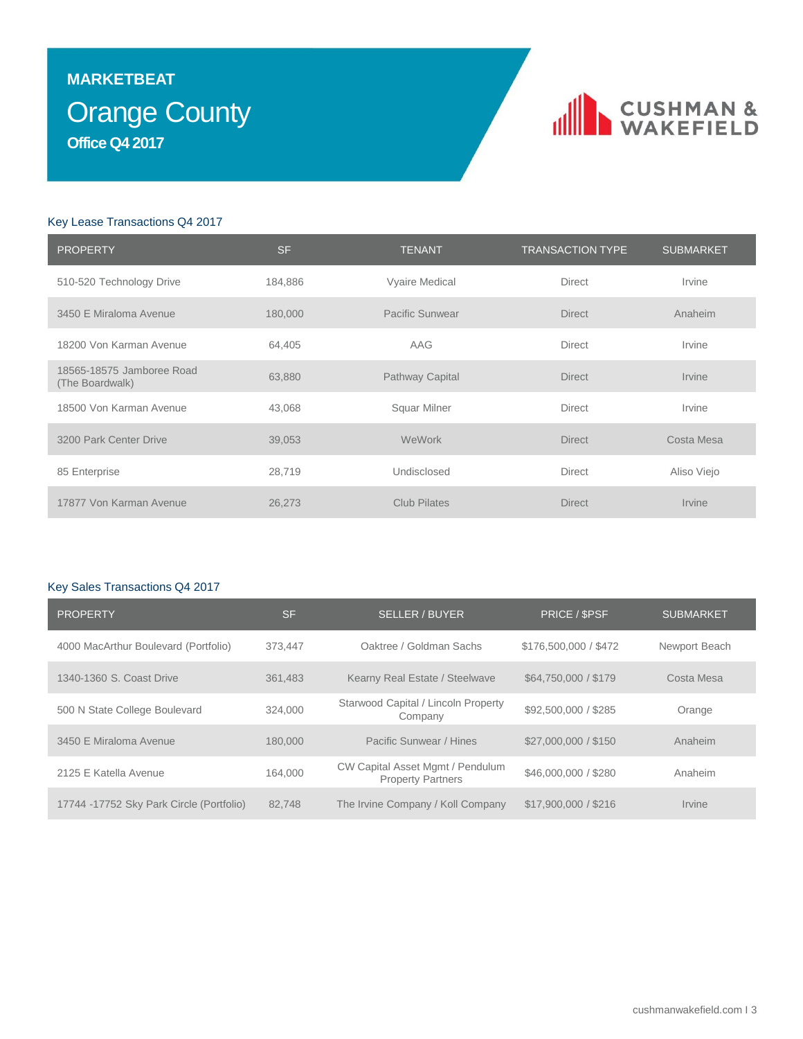## Orange County **MARKETBEAT Office Q4 2017**

## CUSHMAN &

### Key Lease Transactions Q4 2017

| <b>PROPERTY</b>                              | <b>SF</b> | <b>TENANT</b>       | <b>TRANSACTION TYPE</b> | <b>SUBMARKET</b>            |
|----------------------------------------------|-----------|---------------------|-------------------------|-----------------------------|
| 510-520 Technology Drive                     | 184,886   | Vyaire Medical      | <b>Direct</b>           | Irvine                      |
| 3450 E Miraloma Avenue                       | 180,000   | Pacific Sunwear     | <b>Direct</b>           | Anaheim                     |
| 18200 Von Karman Avenue                      | 64,405    | AAG                 | <b>Direct</b>           | Irvine                      |
| 18565-18575 Jamboree Road<br>(The Boardwalk) | 63,880    | Pathway Capital     | <b>Direct</b>           | <i><u><b>Irvine</b></u></i> |
| 18500 Von Karman Avenue                      | 43,068    | Squar Milner        | Direct                  | Irvine                      |
| 3200 Park Center Drive                       | 39,053    | WeWork              | <b>Direct</b>           | Costa Mesa                  |
| 85 Enterprise                                | 28,719    | Undisclosed         | <b>Direct</b>           | Aliso Viejo                 |
| 17877 Von Karman Avenue                      | 26,273    | <b>Club Pilates</b> | <b>Direct</b>           | Irvine                      |

### Key Sales Transactions Q4 2017

| <b>PROPERTY</b>                          | <b>SF</b> | <b>SELLER / BUYER</b>                                        | PRICE / \$PSF         | <b>SUBMARKET</b> |
|------------------------------------------|-----------|--------------------------------------------------------------|-----------------------|------------------|
| 4000 MacArthur Boulevard (Portfolio)     | 373.447   | Oaktree / Goldman Sachs                                      | \$176,500,000 / \$472 | Newport Beach    |
| 1340-1360 S. Coast Drive                 | 361.483   | Kearny Real Estate / Steelwave                               | \$64,750,000 / \$179  | Costa Mesa       |
| 500 N State College Boulevard            | 324,000   | Starwood Capital / Lincoln Property<br>Company               | \$92,500,000 / \$285  | Orange           |
| 3450 E Miraloma Avenue                   | 180,000   | Pacific Sunwear / Hines                                      | \$27,000,000 / \$150  | Anaheim          |
| 2125 E Katella Avenue                    | 164.000   | CW Capital Asset Mgmt / Pendulum<br><b>Property Partners</b> | \$46,000,000 / \$280  | Anaheim          |
| 17744 -17752 Sky Park Circle (Portfolio) | 82.748    | The Irvine Company / Koll Company                            | \$17,900,000 / \$216  | Irvine           |